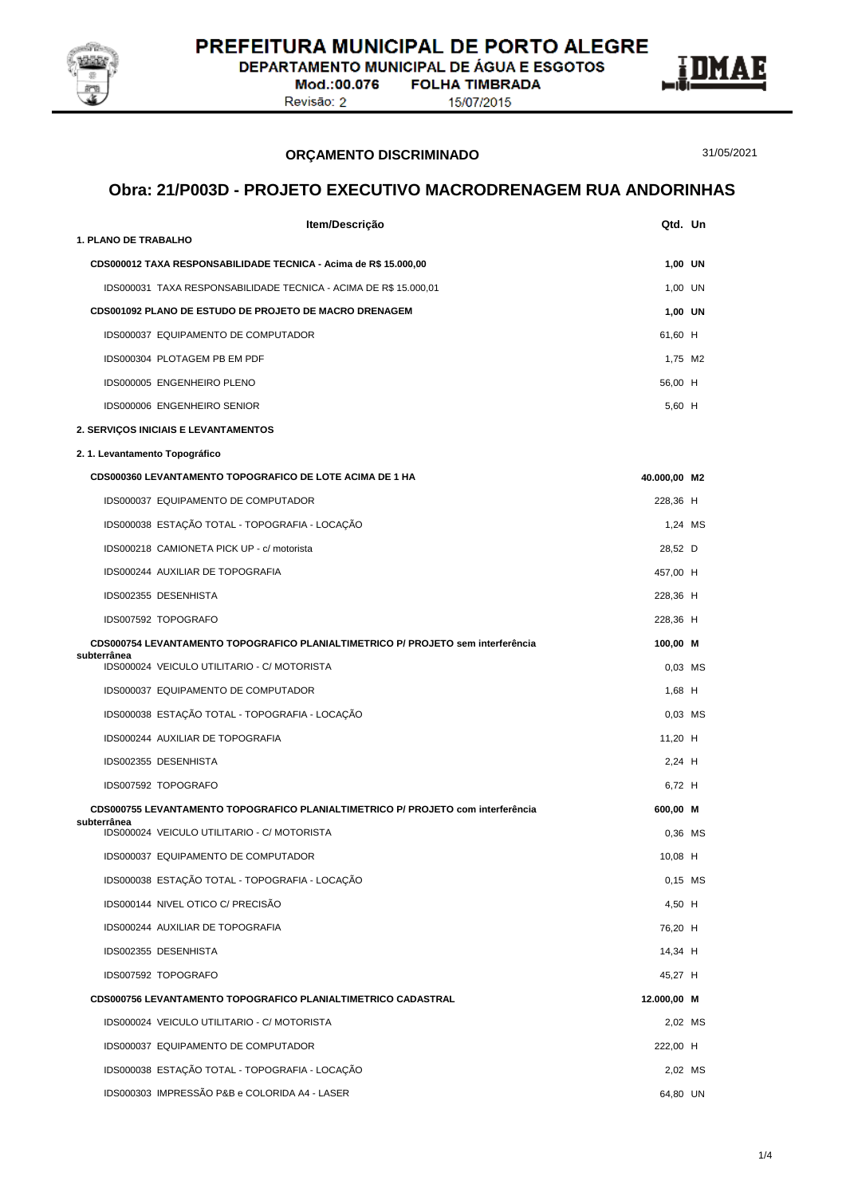

DEPARTAMENTO MUNICIPAL DE ÁGUA E ESGOTOS

Mod.:00.076 **FOLHA TIMBRADA** Revisão: 2

15/07/2015



**ORÇAMENTO DISCRIMINADO**

31/05/2021

### **Obra: 21/P003D - PROJETO EXECUTIVO MACRODRENAGEM RUA ANDORINHAS**

| Item/Descrição                                                                                  | Qtd. Un      |  |
|-------------------------------------------------------------------------------------------------|--------------|--|
| <b>1. PLANO DE TRABALHO</b>                                                                     |              |  |
| CDS000012 TAXA RESPONSABILIDADE TECNICA - Acima de R\$ 15.000,00                                | 1,00 UN      |  |
| IDS000031 TAXA RESPONSABILIDADE TECNICA - ACIMA DE R\$ 15.000,01                                | 1,00 UN      |  |
| <b>CDS001092 PLANO DE ESTUDO DE PROJETO DE MACRO DRENAGEM</b>                                   | 1,00 UN      |  |
| IDS000037 EQUIPAMENTO DE COMPUTADOR                                                             | 61,60 H      |  |
| IDS000304 PLOTAGEM PB EM PDF                                                                    | 1,75 M2      |  |
| IDS000005 ENGENHEIRO PLENO                                                                      | 56,00 H      |  |
| IDS000006 ENGENHEIRO SENIOR                                                                     | 5.60 H       |  |
| 2. SERVIÇOS INICIAIS E LEVANTAMENTOS                                                            |              |  |
| 2.1. Levantamento Topográfico                                                                   |              |  |
| <b>CDS000360 LEVANTAMENTO TOPOGRAFICO DE LOTE ACIMA DE 1 HA</b>                                 | 40.000,00 M2 |  |
| IDS000037 EQUIPAMENTO DE COMPUTADOR                                                             | 228,36 H     |  |
| IDS000038 ESTAÇÃO TOTAL - TOPOGRAFIA - LOCAÇÃO                                                  | 1.24 MS      |  |
| IDS000218 CAMIONETA PICK UP - c/ motorista                                                      | 28,52 D      |  |
| IDS000244 AUXILIAR DE TOPOGRAFIA                                                                | 457,00 H     |  |
| IDS002355 DESENHISTA                                                                            | 228,36 H     |  |
| IDS007592 TOPOGRAFO                                                                             | 228,36 H     |  |
| CDS000754 LEVANTAMENTO TOPOGRAFICO PLANIALTIMETRICO P/ PROJETO sem interferência<br>subterrânea | 100,00 M     |  |
| IDS000024 VEICULO UTILITARIO - C/ MOTORISTA                                                     | $0,03$ MS    |  |
| IDS000037 EQUIPAMENTO DE COMPUTADOR                                                             | $1,68$ H     |  |
| IDS000038 ESTAÇÃO TOTAL - TOPOGRAFIA - LOCAÇÃO                                                  | $0.03$ MS    |  |
| IDS000244 AUXILIAR DE TOPOGRAFIA                                                                | 11,20 $H$    |  |
| IDS002355 DESENHISTA                                                                            | 2,24 H       |  |
| IDS007592 TOPOGRAFO                                                                             | 6.72 H       |  |
| CDS000755 LEVANTAMENTO TOPOGRAFICO PLANIALTIMETRICO P/ PROJETO com interferência                | 600,00 M     |  |
| subterrânea<br>IDS000024 VEICULO UTILITARIO - C/ MOTORISTA                                      | 0,36 MS      |  |
| IDS000037 EQUIPAMENTO DE COMPUTADOR                                                             | 10,08 H      |  |
| IDS000038 ESTAÇÃO TOTAL - TOPOGRAFIA - LOCAÇÃO                                                  | $0,15$ MS    |  |
| IDS000144 NIVEL OTICO C/ PRECISÃO                                                               | 4,50 H       |  |
| IDS000244 AUXILIAR DE TOPOGRAFIA                                                                | 76,20 H      |  |
| IDS002355 DESENHISTA                                                                            | 14,34 H      |  |
| IDS007592 TOPOGRAFO                                                                             | 45,27 H      |  |
| CDS000756 LEVANTAMENTO TOPOGRAFICO PLANIALTIMETRICO CADASTRAL                                   | 12.000,00 M  |  |
| IDS000024 VEICULO UTILITARIO - C/ MOTORISTA                                                     | 2,02 MS      |  |
| IDS000037 EQUIPAMENTO DE COMPUTADOR                                                             | 222,00 H     |  |
| IDS000038 ESTAÇÃO TOTAL - TOPOGRAFIA - LOCAÇÃO                                                  | 2,02 MS      |  |
| IDS000303 IMPRESSÃO P&B e COLORIDA A4 - LASER                                                   | 64,80 UN     |  |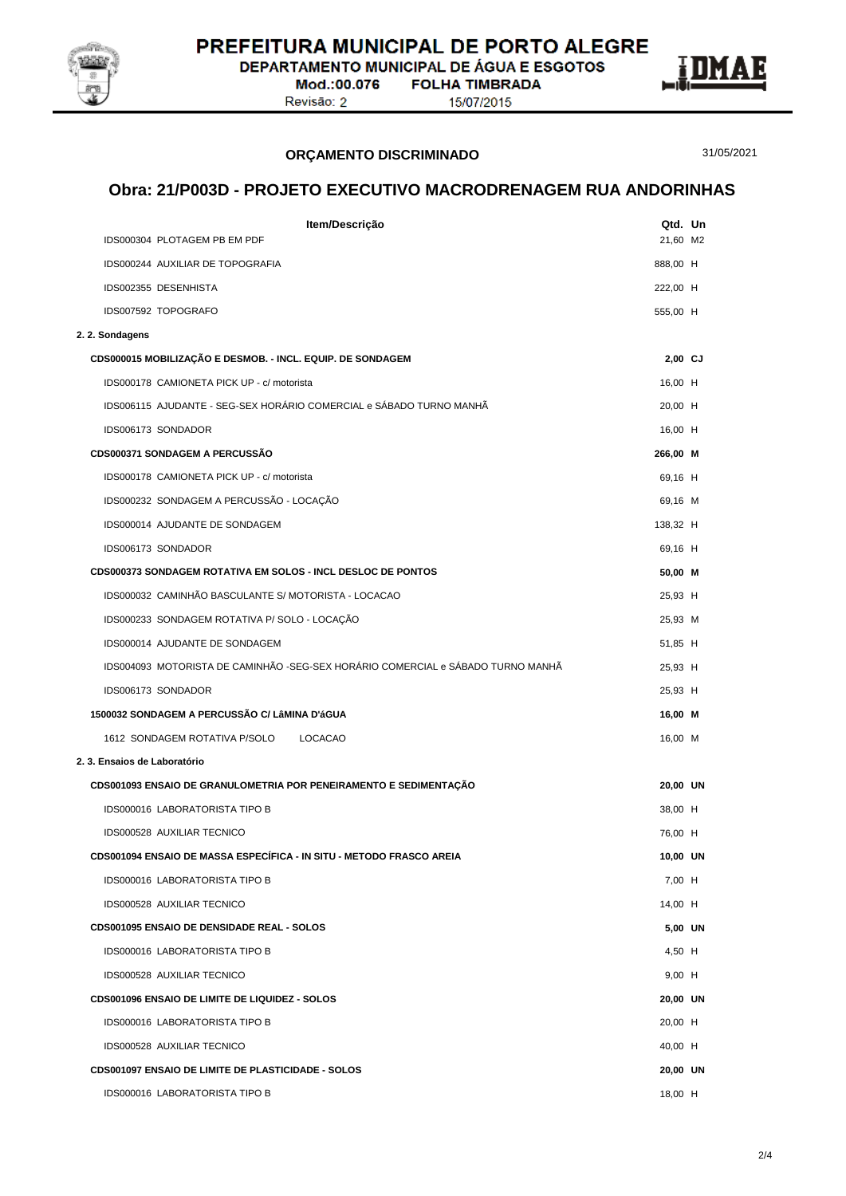

**DEPARTAMENTO MUNICIPAL DE ÁGUA E ESGOTOS** 

Mod.:00.076 Revisão: 2

**FOLHA TIMBRADA** 15/07/2015



31/05/2021

# **ORÇAMENTO DISCRIMINADO**

#### **Obra: 21/P003D - PROJETO EXECUTIVO MACRODRENAGEM RUA ANDORINHAS**

|                              | Item/Descrição                                                                  | Qtd. Un   |  |
|------------------------------|---------------------------------------------------------------------------------|-----------|--|
|                              | IDS000304 PLOTAGEM PB EM PDF                                                    | 21,60 M2  |  |
|                              | IDS000244 AUXILIAR DE TOPOGRAFIA                                                | 888,00 H  |  |
|                              | IDS002355 DESENHISTA                                                            | 222,00 H  |  |
|                              | IDS007592 TOPOGRAFO                                                             | 555,00 H  |  |
| 2. 2. Sondagens              |                                                                                 |           |  |
|                              | CDS000015 MOBILIZAÇÃO E DESMOB. - INCL. EQUIP. DE SONDAGEM                      | $2,00$ CJ |  |
|                              | IDS000178 CAMIONETA PICK UP - c/ motorista                                      | 16,00 H   |  |
|                              | IDS006115 AJUDANTE - SEG-SEX HORÁRIO COMERCIAL e SÁBADO TURNO MANHÃ             | 20,00 H   |  |
|                              | IDS006173 SONDADOR                                                              | 16,00 H   |  |
|                              | <b>CDS000371 SONDAGEM A PERCUSSÃO</b>                                           | 266,00 M  |  |
|                              | IDS000178 CAMIONETA PICK UP - c/ motorista                                      | 69,16 H   |  |
|                              | IDS000232 SONDAGEM A PERCUSSÃO - LOCAÇÃO                                        | 69,16 M   |  |
|                              | IDS000014 AJUDANTE DE SONDAGEM                                                  | 138,32 H  |  |
|                              | IDS006173 SONDADOR                                                              | 69,16 H   |  |
|                              | <b>CDS000373 SONDAGEM ROTATIVA EM SOLOS - INCL DESLOC DE PONTOS</b>             | 50,00 M   |  |
|                              | IDS000032 CAMINHÃO BASCULANTE S/ MOTORISTA - LOCACAO                            | 25,93 H   |  |
|                              | IDS000233 SONDAGEM ROTATIVA P/ SOLO - LOCAÇÃO                                   | 25,93 M   |  |
|                              | IDS000014 AJUDANTE DE SONDAGEM                                                  | 51,85 H   |  |
|                              | IDS004093 MOTORISTA DE CAMINHÃO -SEG-SEX HORÁRIO COMERCIAL e SÁBADO TURNO MANHÃ | 25,93 H   |  |
|                              | IDS006173 SONDADOR                                                              | 25,93 H   |  |
|                              | 1500032 SONDAGEM A PERCUSSÃO C/ LâMINA D'áGUA                                   | 16,00 M   |  |
|                              | 1612 SONDAGEM ROTATIVA P/SOLO<br><b>LOCACAO</b>                                 | 16,00 M   |  |
| 2. 3. Ensaios de Laboratório |                                                                                 |           |  |
|                              | CDS001093 ENSAIO DE GRANULOMETRIA POR PENEIRAMENTO E SEDIMENTAÇÃO               | 20,00 UN  |  |
|                              | IDS000016 LABORATORISTA TIPO B                                                  | 38,00 H   |  |
|                              | IDS000528 AUXILIAR TECNICO                                                      | 76,00 H   |  |
|                              | CDS001094 ENSAIO DE MASSA ESPECÍFICA - IN SITU - METODO FRASCO AREIA            | 10,00 UN  |  |
|                              | <b>IDS000016 LABORATORISTA TIPO B</b>                                           | 7,00 H    |  |
|                              | IDS000528 AUXILIAR TECNICO                                                      | 14,00 H   |  |
|                              | <b>CDS001095 ENSAIO DE DENSIDADE REAL - SOLOS</b>                               | 5,00 UN   |  |
|                              | IDS000016 LABORATORISTA TIPO B                                                  | 4,50 H    |  |
|                              | IDS000528 AUXILIAR TECNICO                                                      | 9,00 H    |  |
|                              | <b>CDS001096 ENSAIO DE LIMITE DE LIQUIDEZ - SOLOS</b>                           | 20,00 UN  |  |
|                              | <b>IDS000016 LABORATORISTA TIPO B</b>                                           | 20,00 H   |  |
|                              | IDS000528 AUXILIAR TECNICO                                                      | 40,00 H   |  |
|                              | CDS001097 ENSAIO DE LIMITE DE PLASTICIDADE - SOLOS                              | 20,00 UN  |  |
|                              | IDS000016 LABORATORISTA TIPO B                                                  | 18,00 H   |  |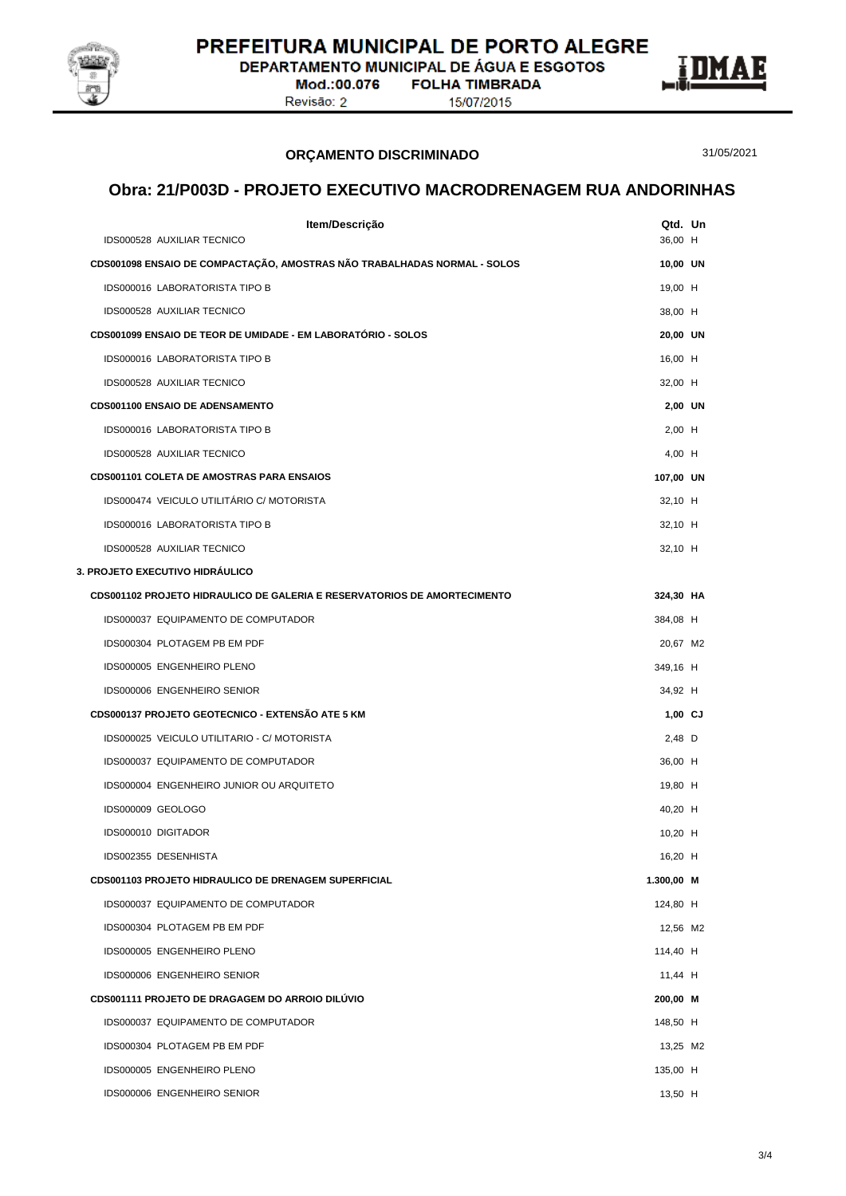

**DEPARTAMENTO MUNICIPAL DE ÁGUA E ESGOTOS** 

Mod.:00.076 Revisão: 2

**FOLHA TIMBRADA** 15/07/2015



31/05/2021

# **Obra: 21/P003D - PROJETO EXECUTIVO MACRODRENAGEM RUA ANDORINHAS**

**ORÇAMENTO DISCRIMINADO**

| Item/Descrição                                                           | Qtd. Un    |  |
|--------------------------------------------------------------------------|------------|--|
| IDS000528 AUXILIAR TECNICO                                               | 36,00 H    |  |
| CDS001098 ENSAIO DE COMPACTAÇÃO, AMOSTRAS NÃO TRABALHADAS NORMAL - SOLOS | 10,00 UN   |  |
| <b>IDS000016 LABORATORISTA TIPO B</b>                                    | 19,00 H    |  |
| IDS000528 AUXILIAR TECNICO                                               | 38,00 H    |  |
| CDS001099 ENSAIO DE TEOR DE UMIDADE - EM LABORATÓRIO - SOLOS             | 20,00 UN   |  |
| <b>IDS000016 LABORATORISTA TIPO B</b>                                    | 16,00 H    |  |
| IDS000528 AUXILIAR TECNICO                                               | 32,00 H    |  |
| <b>CDS001100 ENSAIO DE ADENSAMENTO</b>                                   | 2,00 UN    |  |
| <b>IDS000016 LABORATORISTA TIPO B</b>                                    | $2,00$ H   |  |
| IDS000528 AUXILIAR TECNICO                                               | 4,00 H     |  |
| <b>CDS001101 COLETA DE AMOSTRAS PARA ENSAIOS</b>                         | 107,00 UN  |  |
| IDS000474 VEICULO UTILITÁRIO C/ MOTORISTA                                | 32,10 H    |  |
| <b>IDS000016 LABORATORISTA TIPO B</b>                                    | 32,10 H    |  |
| IDS000528 AUXILIAR TECNICO                                               | 32,10 H    |  |
| 3. PROJETO EXECUTIVO HIDRÁULICO                                          |            |  |
| CDS001102 PROJETO HIDRAULICO DE GALERIA E RESERVATORIOS DE AMORTECIMENTO | 324,30 HA  |  |
| IDS000037 EQUIPAMENTO DE COMPUTADOR                                      | 384,08 H   |  |
| IDS000304 PLOTAGEM PB EM PDF                                             | 20,67 M2   |  |
| IDS000005 ENGENHEIRO PLENO                                               | 349,16 H   |  |
| IDS000006 ENGENHEIRO SENIOR                                              | 34,92 H    |  |
| CDS000137 PROJETO GEOTECNICO - EXTENSÃO ATE 5 KM                         | $1,00$ CJ  |  |
| IDS000025 VEICULO UTILITARIO - C/ MOTORISTA                              | 2,48 D     |  |
| IDS000037 EQUIPAMENTO DE COMPUTADOR                                      | 36,00 H    |  |
| IDS000004 ENGENHEIRO JUNIOR OU ARQUITETO                                 | 19,80 H    |  |
| IDS000009 GEOLOGO                                                        | 40,20 H    |  |
| IDS000010 DIGITADOR                                                      | $10,20$ H  |  |
| IDS002355 DESENHISTA                                                     | 16,20 H    |  |
| CDS001103 PROJETO HIDRAULICO DE DRENAGEM SUPERFICIAL                     | 1.300,00 M |  |
| IDS000037 EQUIPAMENTO DE COMPUTADOR                                      | 124,80 H   |  |
| IDS000304 PLOTAGEM PB EM PDF                                             | 12,56 M2   |  |
| IDS000005 ENGENHEIRO PLENO                                               | 114,40 H   |  |
| IDS000006 ENGENHEIRO SENIOR                                              | 11,44 H    |  |
| CDS001111 PROJETO DE DRAGAGEM DO ARROIO DILÚVIO                          | 200,00 M   |  |
| IDS000037 EQUIPAMENTO DE COMPUTADOR                                      | 148,50 H   |  |
| IDS000304 PLOTAGEM PB EM PDF                                             | 13,25 M2   |  |
| IDS000005 ENGENHEIRO PLENO                                               | 135,00 H   |  |
| IDS000006 ENGENHEIRO SENIOR                                              | 13,50 H    |  |